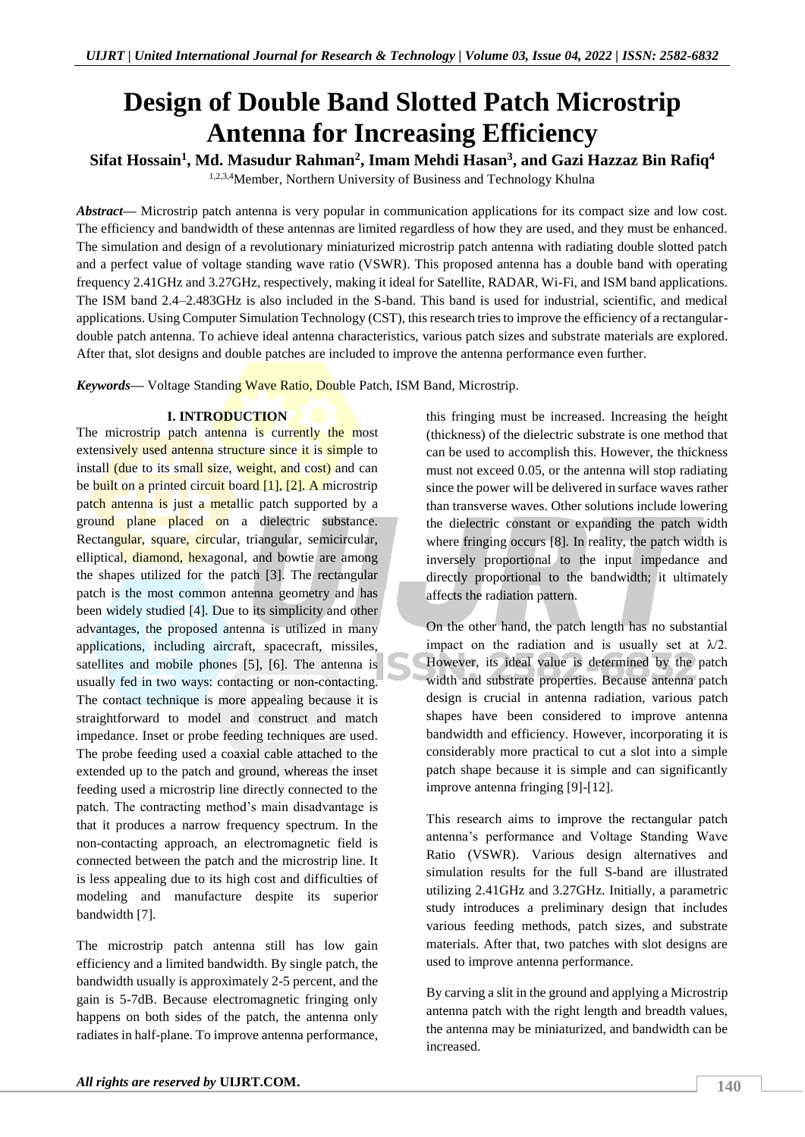# **Design of Double Band Slotted Patch Microstrip Antenna for Increasing Efficiency**

**Sifat Hossain<sup>1</sup> , Md. Masudur Rahman<sup>2</sup> , Imam Mehdi Hasan<sup>3</sup> , and Gazi Hazzaz Bin Rafiq<sup>4</sup>**

1,2,3,4Member, Northern University of Business and Technology Khulna

*Abstract—* Microstrip patch antenna is very popular in communication applications for its compact size and low cost. The efficiency and bandwidth of these antennas are limited regardless of how they are used, and they must be enhanced. The simulation and design of a revolutionary miniaturized microstrip patch antenna with radiating double slotted patch and a perfect value of voltage standing wave ratio (VSWR). This proposed antenna has a double band with operating frequency 2.41GHz and 3.27GHz, respectively, making it ideal for Satellite, RADAR, Wi-Fi, and ISM band applications. The ISM band 2.4–2.483GHz is also included in the S-band. This band is used for industrial, scientific, and medical applications. Using Computer Simulation Technology (CST), this research tries to improve the efficiency of a rectangulardouble patch antenna. To achieve ideal antenna characteristics, various patch sizes and substrate materials are explored. After that, slot designs and double patches are included to improve the antenna performance even further.

*Keywords—* Voltage Standing Wave Ratio, Double Patch, ISM Band, Microstrip.

# **I. INTRODUCTION**

The microstrip patch antenna is currently the most extensively used antenna structure since it is simple to install (due to its small size, weight, and cost) and can be built on a printed circuit board  $[1]$ ,  $[2]$ . A microstrip patch antenna is just a metallic patch supported by a ground plane placed on a dielectric substance. Rectangular, square, circular, triangular, semicircular, elliptical, diamond, hexagonal, and bowtie are among the shapes utilized for the patch [3]. The rectangular patch is the most common antenna geometry and has been widely studied [4]. Due to its simplicity and other advantages, the proposed antenna is utilized in many applications, including aircraft, spacecraft, missiles, satellites and mobile phones [5], [6]. The antenna is usually fed in two ways: contacting or non-contacting. The contact technique is more appealing because it is straightforward to model and construct and match impedance. Inset or probe feeding techniques are used. The probe feeding used a coaxial cable attached to the extended up to the patch and ground, whereas the inset feeding used a microstrip line directly connected to the patch. The contracting method's main disadvantage is that it produces a narrow frequency spectrum. In the non-contacting approach, an electromagnetic field is connected between the patch and the microstrip line. It is less appealing due to its high cost and difficulties of modeling and manufacture despite its superior bandwidth [7].

The microstrip patch antenna still has low gain efficiency and a limited bandwidth. By single patch, the bandwidth usually is approximately 2-5 percent, and the gain is 5-7dB. Because electromagnetic fringing only happens on both sides of the patch, the antenna only radiates in half-plane. To improve antenna performance, this fringing must be increased. Increasing the height (thickness) of the dielectric substrate is one method that can be used to accomplish this. However, the thickness must not exceed 0.05, or the antenna will stop radiating since the power will be delivered in surface waves rather than transverse waves. Other solutions include lowering the dielectric constant or expanding the patch width where fringing occurs [8]. In reality, the patch width is inversely proportional to the input impedance and directly proportional to the bandwidth; it ultimately affects the radiation pattern.

On the other hand, the patch length has no substantial impact on the radiation and is usually set at  $\lambda/2$ . However, its ideal value is determined by the patch width and substrate properties. Because antenna patch design is crucial in antenna radiation, various patch shapes have been considered to improve antenna bandwidth and efficiency. However, incorporating it is considerably more practical to cut a slot into a simple patch shape because it is simple and can significantly improve antenna fringing [9]-[12].

This research aims to improve the rectangular patch antenna's performance and Voltage Standing Wave Ratio (VSWR). Various design alternatives and simulation results for the full S-band are illustrated utilizing 2.41GHz and 3.27GHz. Initially, a parametric study introduces a preliminary design that includes various feeding methods, patch sizes, and substrate materials. After that, two patches with slot designs are used to improve antenna performance.

By carving a slit in the ground and applying a Microstrip antenna patch with the right length and breadth values, the antenna may be miniaturized, and bandwidth can be increased.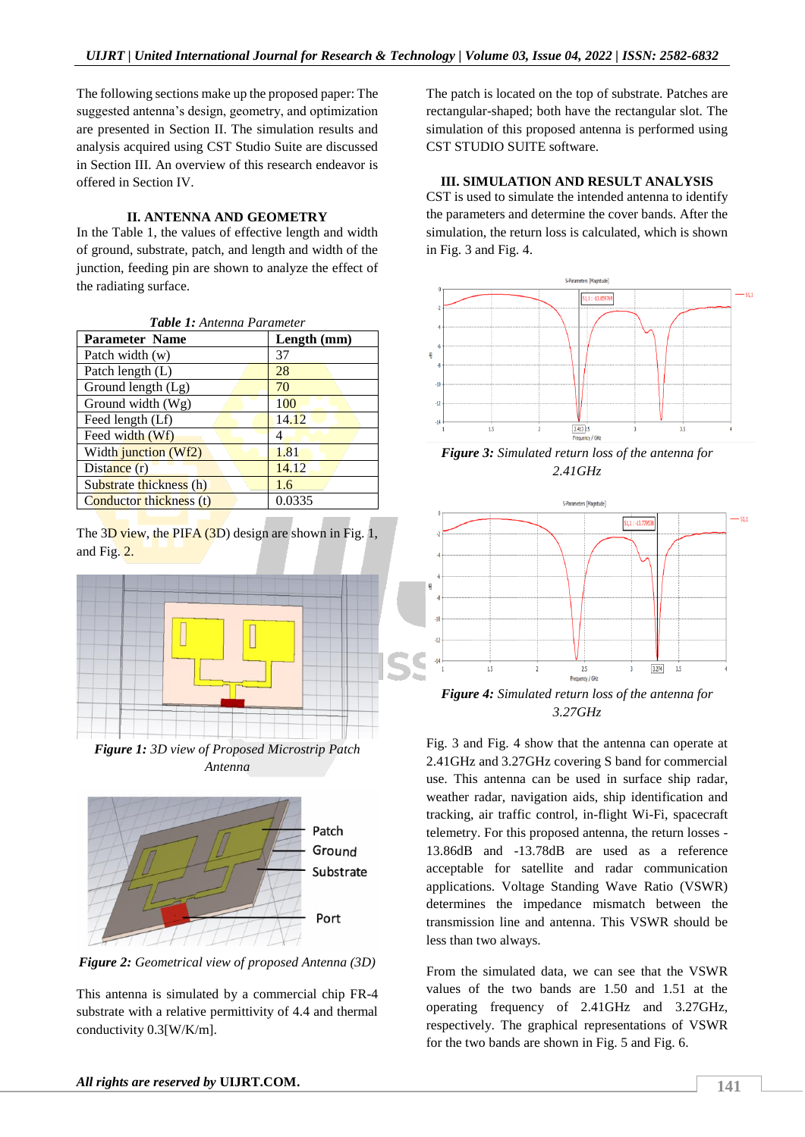The following sections make up the proposed paper: The suggested antenna's design, geometry, and optimization are presented in Section II. The simulation results and analysis acquired using CST Studio Suite are discussed in Section III. An overview of this research endeavor is offered in Section IV.

# **II. ANTENNA AND GEOMETRY**

In the Table 1, the values of effective length and width of ground, substrate, patch, and length and width of the junction, feeding pin are shown to analyze the effect of the radiating surface.

| Table 1: Antenna Parameter     |               |
|--------------------------------|---------------|
| <b>Parameter Name</b>          | Length $(mm)$ |
| Patch width (w)                | 37            |
| Patch length (L)               | 28            |
| Ground length (Lg)             | 70            |
| Ground width (Wg)              | 100           |
| Feed length (Lf)               | 14.12         |
| Feed width (Wf)                | 4             |
| Width junction (Wf2)           | 1.81          |
| Distance $(r)$                 | 14.12         |
| Substrate thickness (h)        | 1.6           |
| <b>Conductor thickness (t)</b> | 0.0335        |

The  $3D$  view, the PIFA  $(3D)$  design are shown in Fig. 1, and Fig. 2.



*Figure 1: 3D view of Proposed Microstrip Patch Antenna*



*Figure 2: Geometrical view of proposed Antenna (3D)*

This antenna is simulated by a commercial chip FR-4 substrate with a relative permittivity of 4.4 and thermal conductivity 0.3[W/K/m].

The patch is located on the top of substrate. Patches are rectangular-shaped; both have the rectangular slot. The simulation of this proposed antenna is performed using CST STUDIO SUITE software.

## **III. SIMULATION AND RESULT ANALYSIS**

CST is used to simulate the intended antenna to identify the parameters and determine the cover bands. After the simulation, the return loss is calculated, which is shown in Fig. 3 and Fig. 4.



*Figure 3: Simulated return loss of the antenna for 2.41GHz*



*3.27GHz*

Fig. 3 and Fig. 4 show that the antenna can operate at 2.41GHz and 3.27GHz covering S band for commercial use. This antenna can be used in surface ship radar, weather radar, navigation aids, ship identification and tracking, air traffic control, in-flight Wi-Fi, spacecraft telemetry. For this proposed antenna, the return losses - 13.86dB and -13.78dB are used as a reference acceptable for satellite and radar communication applications. Voltage Standing Wave Ratio (VSWR) determines the impedance mismatch between the transmission line and antenna. This VSWR should be less than two always.

From the simulated data, we can see that the VSWR values of the two bands are 1.50 and 1.51 at the operating frequency of 2.41GHz and 3.27GHz, respectively. The graphical representations of VSWR for the two bands are shown in Fig. 5 and Fig. 6.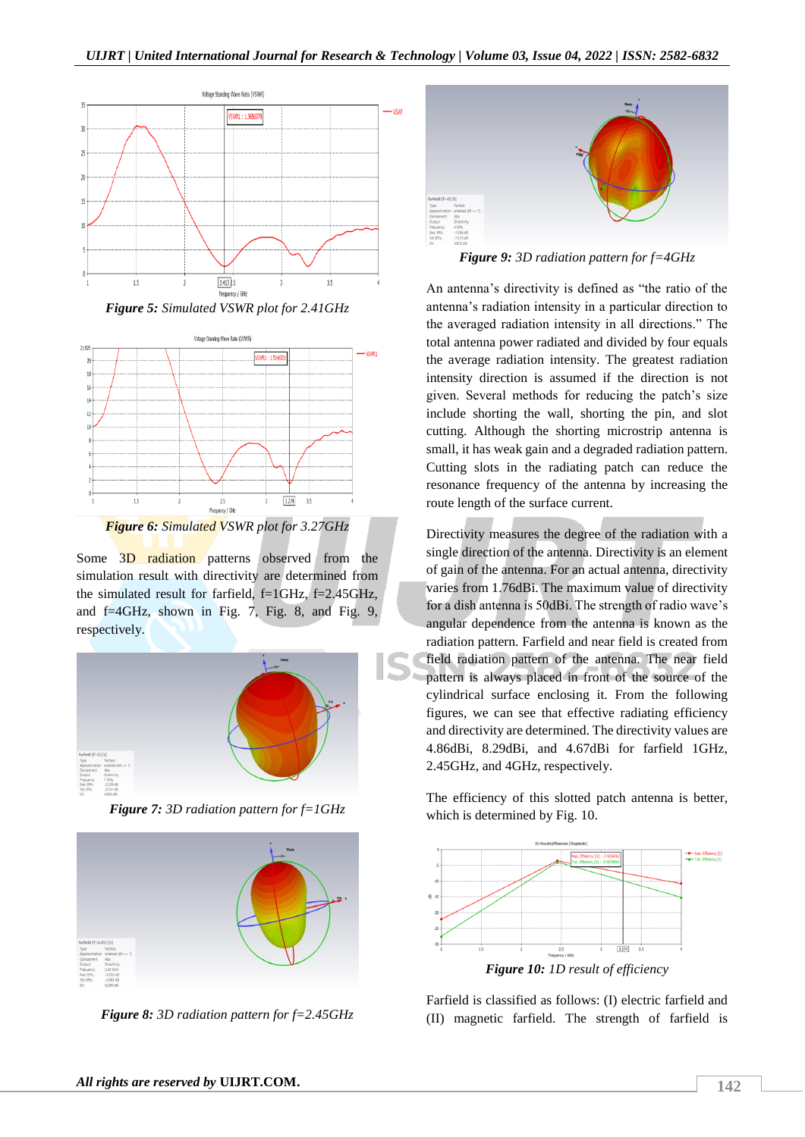$-$  vs $w$ 



*Figure 5: Simulated VSWR plot for 2.41GHz*



*Figure 6: Simulated VSWR plot for 3.27GHz*

Some 3D radiation patterns observed from the simulation result with directivity are determined from the simulated result for farfield, f=1GHz, f=2.45GHz, and f=4GHz, shown in Fig. 7, Fig. 8, and Fig. 9, respectively.



*Figure 7: 3D radiation pattern for f=1GHz*



*Figure 8: 3D radiation pattern for f=2.45GHz*



*Figure 9: 3D radiation pattern for f=4GHz*

An antenna's directivity is defined as "the ratio of the antenna's radiation intensity in a particular direction to the averaged radiation intensity in all directions." The total antenna power radiated and divided by four equals the average radiation intensity. The greatest radiation intensity direction is assumed if the direction is not given. Several methods for reducing the patch's size include shorting the wall, shorting the pin, and slot cutting. Although the shorting microstrip antenna is small, it has weak gain and a degraded radiation pattern. Cutting slots in the radiating patch can reduce the resonance frequency of the antenna by increasing the route length of the surface current.

Directivity measures the degree of the radiation with a single direction of the antenna. Directivity is an element of gain of the antenna. For an actual antenna, directivity varies from 1.76dBi. The maximum value of directivity for a dish antenna is 50dBi. The strength of radio wave's angular dependence from the antenna is known as the radiation pattern. Farfield and near field is created from field radiation pattern of the antenna. The near field pattern is always placed in front of the source of the cylindrical surface enclosing it. From the following figures, we can see that effective radiating efficiency and directivity are determined. The directivity values are 4.86dBi, 8.29dBi, and 4.67dBi for farfield 1GHz, 2.45GHz, and 4GHz, respectively.

The efficiency of this slotted patch antenna is better, which is determined by Fig. 10.



Farfield is classified as follows: (I) electric farfield and (II) magnetic farfield. The strength of farfield is